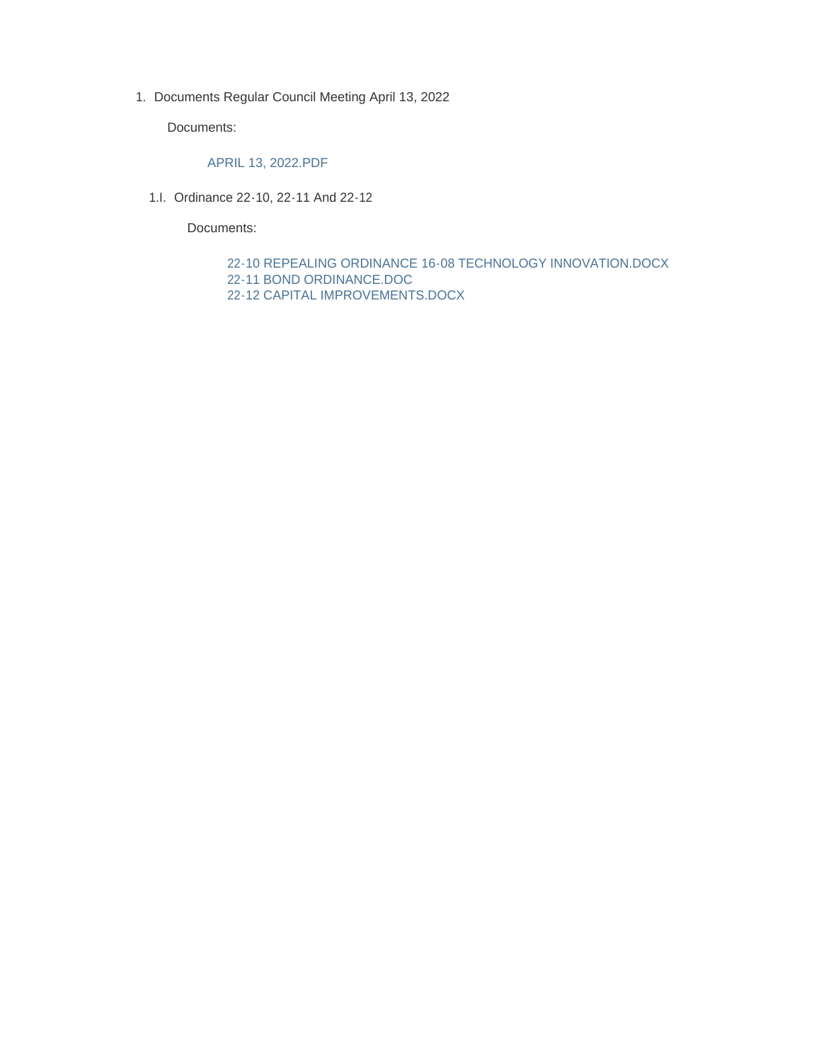1. Documents Regular Council Meeting April 13, 2022

Documents:

#### APRIL 13, 2022.PDF

1.I. Ordinance 22-10, 22-11 And 22-12

Documents:

22-10 REPEALING ORDINANCE 16-08 TECHNOLOGY INNOVATION.DOCX 22-11 BOND ORDINANCE.DOC 22-12 CAPITAL IMPROVEMENTS.DOCX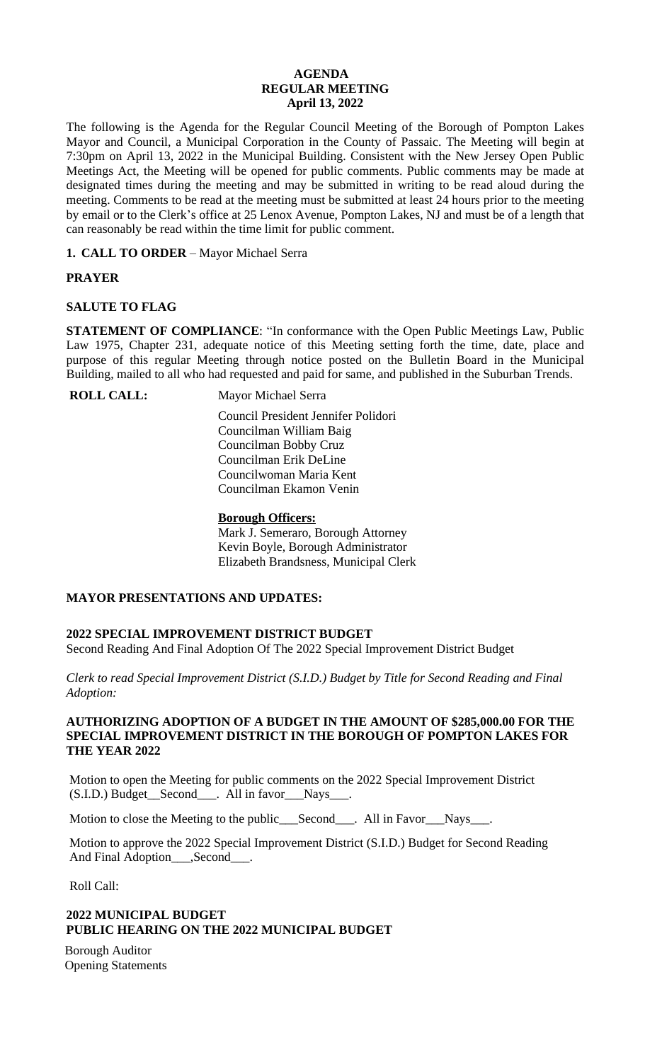### **AGENDA REGULAR MEETING April 13, 2022**

The following is the Agenda for the Regular Council Meeting of the Borough of Pompton Lakes Mayor and Council, a Municipal Corporation in the County of Passaic. The Meeting will begin at 7:30pm on April 13, 2022 in the Municipal Building. Consistent with the New Jersey Open Public Meetings Act, the Meeting will be opened for public comments. Public comments may be made at designated times during the meeting and may be submitted in writing to be read aloud during the meeting. Comments to be read at the meeting must be submitted at least 24 hours prior to the meeting by email or to the Clerk's office at 25 Lenox Avenue, Pompton Lakes, NJ and must be of a length that can reasonably be read within the time limit for public comment.

**1. CALL TO ORDER** – Mayor Michael Serra

### **PRAYER**

### **SALUTE TO FLAG**

**STATEMENT OF COMPLIANCE**: "In conformance with the Open Public Meetings Law, Public Law 1975, Chapter 231, adequate notice of this Meeting setting forth the time, date, place and purpose of this regular Meeting through notice posted on the Bulletin Board in the Municipal Building, mailed to all who had requested and paid for same, and published in the Suburban Trends.

**ROLL CALL:** Mayor Michael Serra

 Council President Jennifer Polidori Councilman William Baig Councilman Bobby Cruz Councilman Erik DeLine Councilwoman Maria Kent Councilman Ekamon Venin

### **Borough Officers:**

Mark J. Semeraro, Borough Attorney Kevin Boyle, Borough Administrator Elizabeth Brandsness, Municipal Clerk

### **MAYOR PRESENTATIONS AND UPDATES:**

### **2022 SPECIAL IMPROVEMENT DISTRICT BUDGET**

Second Reading And Final Adoption Of The 2022 Special Improvement District Budget

*Clerk to read Special Improvement District (S.I.D.) Budget by Title for Second Reading and Final Adoption:*

### **AUTHORIZING ADOPTION OF A BUDGET IN THE AMOUNT OF \$285,000.00 FOR THE SPECIAL IMPROVEMENT DISTRICT IN THE BOROUGH OF POMPTON LAKES FOR THE YEAR 2022**

Motion to open the Meeting for public comments on the 2022 Special Improvement District (S.I.D.) Budget\_\_Second\_\_\_. All in favor\_\_\_Nays\_\_\_.

Motion to close the Meeting to the public\_\_\_Second\_\_\_. All in Favor\_\_\_Nays\_\_\_.

 Motion to approve the 2022 Special Improvement District (S.I.D.) Budget for Second Reading And Final Adoption\_\_\_,Second\_\_\_\_.

Roll Call:

### **2022 MUNICIPAL BUDGET PUBLIC HEARING ON THE 2022 MUNICIPAL BUDGET**

 Borough Auditor Opening Statements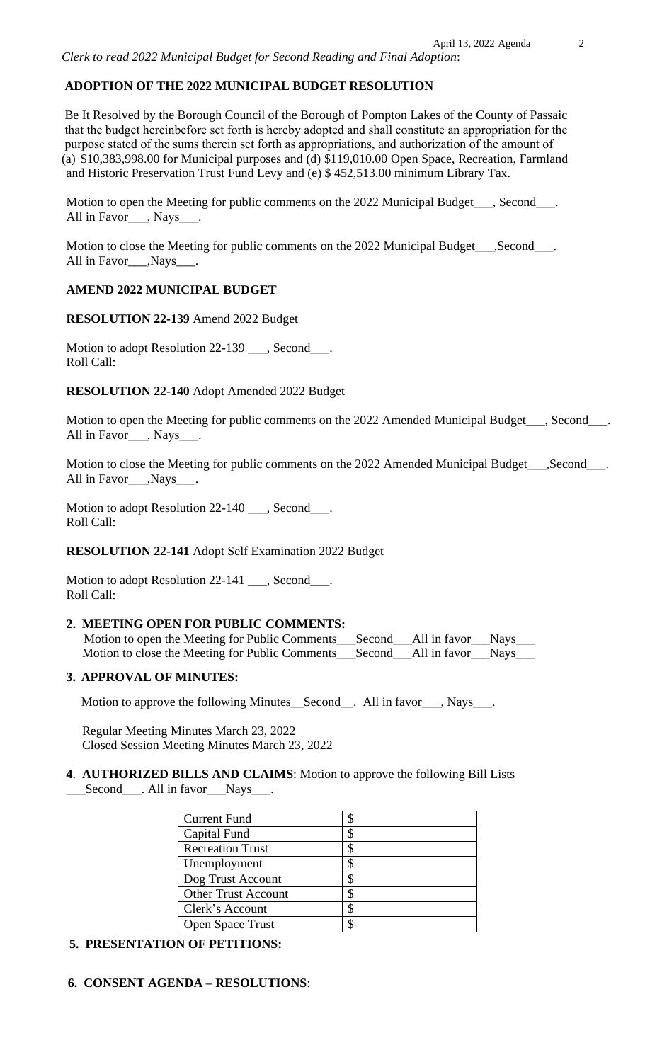### **ADOPTION OF THE 2022 MUNICIPAL BUDGET RESOLUTION**

 Be It Resolved by the Borough Council of the Borough of Pompton Lakes of the County of Passaic that the budget hereinbefore set forth is hereby adopted and shall constitute an appropriation for the purpose stated of the sums therein set forth as appropriations, and authorization of the amount of (a) \$10,383,998.00 for Municipal purposes and (d) \$119,010.00 Open Space, Recreation, Farmland and Historic Preservation Trust Fund Levy and (e) \$ 452,513.00 minimum Library Tax.

Motion to open the Meeting for public comments on the 2022 Municipal Budget\_\_\_, Second\_\_\_. All in Favor\_\_\_, Nays\_\_\_.

Motion to close the Meeting for public comments on the 2022 Municipal Budget\_\_\_,Second\_\_\_. All in Favor\_\_\_,Nays\_\_\_.

### **AMEND 2022 MUNICIPAL BUDGET**

**RESOLUTION 22-139** Amend 2022 Budget

Motion to adopt Resolution 22-139 \_\_\_, Second\_\_\_. Roll Call:

### **RESOLUTION 22-140** Adopt Amended 2022 Budget

Motion to open the Meeting for public comments on the 2022 Amended Municipal Budget\_\_\_, Second\_\_\_. All in Favor , Nays

Motion to close the Meeting for public comments on the 2022 Amended Municipal Budget\_\_\_,Second\_\_\_. All in Favor\_\_\_,Nays\_\_\_

Motion to adopt Resolution 22-140 \_\_\_, Second\_\_\_. Roll Call:

### **RESOLUTION 22-141** Adopt Self Examination 2022 Budget

Motion to adopt Resolution 22-141 \_\_\_, Second\_\_\_. Roll Call:

### **2. MEETING OPEN FOR PUBLIC COMMENTS:**

 Motion to open the Meeting for Public Comments\_\_\_Second\_\_\_All in favor\_\_\_Nays\_\_\_ Motion to close the Meeting for Public Comments\_\_\_Second\_\_\_All in favor\_\_\_Nays\_\_\_

#### **3. APPROVAL OF MINUTES:**

Motion to approve the following Minutes\_Second\_\_. All in favor\_\_\_, Nays\_\_\_.

 Regular Meeting Minutes March 23, 2022 Closed Session Meeting Minutes March 23, 2022

#### **4**. **AUTHORIZED BILLS AND CLAIMS**: Motion to approve the following Bill Lists Second All in favor Nays.

| <b>Current Fund</b>        |   |
|----------------------------|---|
| Capital Fund               |   |
| <b>Recreation Trust</b>    |   |
| Unemployment               |   |
| Dog Trust Account          |   |
| <b>Other Trust Account</b> |   |
| Clerk's Account            | S |
| Open Space Trust           |   |

### **5. PRESENTATION OF PETITIONS:**

# **6. CONSENT AGENDA – RESOLUTIONS**: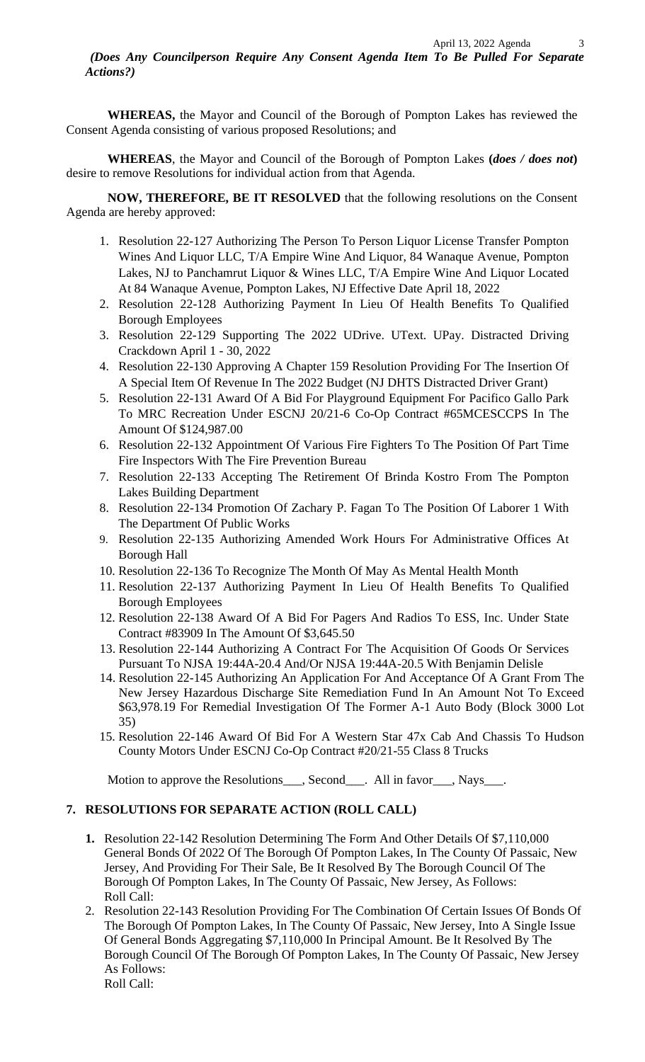*(Does Any Councilperson Require Any Consent Agenda Item To Be Pulled For Separate Actions?)*

**WHEREAS,** the Mayor and Council of the Borough of Pompton Lakes has reviewed the Consent Agenda consisting of various proposed Resolutions; and

**WHEREAS**, the Mayor and Council of the Borough of Pompton Lakes **(***does / does not***)** desire to remove Resolutions for individual action from that Agenda.

**NOW, THEREFORE, BE IT RESOLVED** that the following resolutions on the Consent Agenda are hereby approved:

- 1. Resolution 22-127 Authorizing The Person To Person Liquor License Transfer Pompton Wines And Liquor LLC, T/A Empire Wine And Liquor, 84 Wanaque Avenue, Pompton Lakes, NJ to Panchamrut Liquor & Wines LLC, T/A Empire Wine And Liquor Located At 84 Wanaque Avenue, Pompton Lakes, NJ Effective Date April 18, 2022
- 2. Resolution 22-128 Authorizing Payment In Lieu Of Health Benefits To Qualified Borough Employees
- 3. Resolution 22-129 Supporting The 2022 UDrive. UText. UPay. Distracted Driving Crackdown April 1 - 30, 2022
- 4. Resolution 22-130 Approving A Chapter 159 Resolution Providing For The Insertion Of A Special Item Of Revenue In The 2022 Budget (NJ DHTS Distracted Driver Grant)
- 5. Resolution 22-131 Award Of A Bid For Playground Equipment For Pacifico Gallo Park To MRC Recreation Under ESCNJ 20/21-6 Co-Op Contract #65MCESCCPS In The Amount Of \$124,987.00
- 6. Resolution 22-132 Appointment Of Various Fire Fighters To The Position Of Part Time Fire Inspectors With The Fire Prevention Bureau
- 7. Resolution 22-133 Accepting The Retirement Of Brinda Kostro From The Pompton Lakes Building Department
- 8. Resolution 22-134 Promotion Of Zachary P. Fagan To The Position Of Laborer 1 With The Department Of Public Works
- 9. Resolution 22-135 Authorizing Amended Work Hours For Administrative Offices At Borough Hall
- 10. Resolution 22-136 To Recognize The Month Of May As Mental Health Month
- 11. Resolution 22-137 Authorizing Payment In Lieu Of Health Benefits To Qualified Borough Employees
- 12. Resolution 22-138 Award Of A Bid For Pagers And Radios To ESS, Inc. Under State Contract #83909 In The Amount Of \$3,645.50
- 13. Resolution 22-144 Authorizing A Contract For The Acquisition Of Goods Or Services Pursuant To NJSA 19:44A-20.4 And/Or NJSA 19:44A-20.5 With Benjamin Delisle
- 14. Resolution 22-145 Authorizing An Application For And Acceptance Of A Grant From The New Jersey Hazardous Discharge Site Remediation Fund In An Amount Not To Exceed \$63,978.19 For Remedial Investigation Of The Former A-1 Auto Body (Block 3000 Lot 35)
- 15. Resolution 22-146 Award Of Bid For A Western Star 47x Cab And Chassis To Hudson County Motors Under ESCNJ Co-Op Contract #20/21-55 Class 8 Trucks

Motion to approve the Resolutions\_\_\_, Second\_\_\_. All in favor\_\_\_, Nays\_\_\_.

# **7. RESOLUTIONS FOR SEPARATE ACTION (ROLL CALL)**

- **1.** Resolution 22-142 Resolution Determining The Form And Other Details Of \$7,110,000 General Bonds Of 2022 Of The Borough Of Pompton Lakes, In The County Of Passaic, New Jersey, And Providing For Their Sale, Be It Resolved By The Borough Council Of The Borough Of Pompton Lakes, In The County Of Passaic, New Jersey, As Follows: Roll Call:
- 2. Resolution 22-143 Resolution Providing For The Combination Of Certain Issues Of Bonds Of The Borough Of Pompton Lakes, In The County Of Passaic, New Jersey, Into A Single Issue Of General Bonds Aggregating \$7,110,000 In Principal Amount. Be It Resolved By The Borough Council Of The Borough Of Pompton Lakes, In The County Of Passaic, New Jersey As Follows: Roll Call: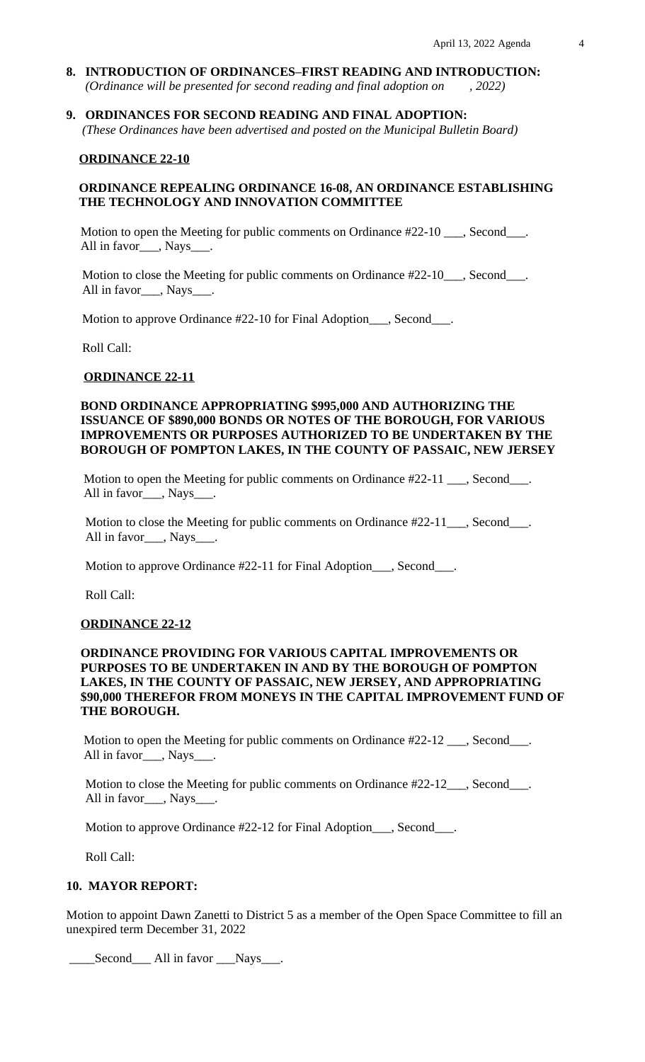- **8. INTRODUCTION OF ORDINANCES–FIRST READING AND INTRODUCTION:**  *(Ordinance will be presented for second reading and final adoption on , 2022)*
- **9. ORDINANCES FOR SECOND READING AND FINAL ADOPTION:**  *(These Ordinances have been advertised and posted on the Municipal Bulletin Board)*

#### **ORDINANCE 22-10**

### **ORDINANCE REPEALING ORDINANCE 16-08, AN ORDINANCE ESTABLISHING THE TECHNOLOGY AND INNOVATION COMMITTEE**

Motion to open the Meeting for public comments on Ordinance #22-10 \_\_\_, Second\_\_\_. All in favor\_\_\_, Nays\_\_\_.

Motion to close the Meeting for public comments on Ordinance #22-10<sub>\_\_\_</sub>, Second\_\_\_. All in favor\_\_\_, Nays\_\_\_.

Motion to approve Ordinance #22-10 for Final Adoption\_\_\_, Second\_\_\_.

Roll Call:

#### **ORDINANCE 22-11**

### **BOND ORDINANCE APPROPRIATING \$995,000 AND AUTHORIZING THE ISSUANCE OF \$890,000 BONDS OR NOTES OF THE BOROUGH, FOR VARIOUS IMPROVEMENTS OR PURPOSES AUTHORIZED TO BE UNDERTAKEN BY THE BOROUGH OF POMPTON LAKES, IN THE COUNTY OF PASSAIC, NEW JERSEY**

Motion to open the Meeting for public comments on Ordinance #22-11 \_\_\_, Second\_\_\_. All in favor\_\_\_, Nays\_

Motion to close the Meeting for public comments on Ordinance #22-11\_\_\_, Second\_\_\_. All in favor\_\_\_, Nays\_\_\_.

Motion to approve Ordinance #22-11 for Final Adoption\_\_\_, Second\_\_\_.

Roll Call:

#### **ORDINANCE 22-12**

### **ORDINANCE PROVIDING FOR VARIOUS CAPITAL IMPROVEMENTS OR PURPOSES TO BE UNDERTAKEN IN AND BY THE BOROUGH OF POMPTON LAKES, IN THE COUNTY OF PASSAIC, NEW JERSEY, AND APPROPRIATING \$90,000 THEREFOR FROM MONEYS IN THE CAPITAL IMPROVEMENT FUND OF THE BOROUGH.**

Motion to open the Meeting for public comments on Ordinance #22-12 \_\_\_, Second\_\_\_. All in favor\_\_\_, Nays\_\_\_.

Motion to close the Meeting for public comments on Ordinance #22-12\_\_\_, Second\_\_\_. All in favor\_\_\_, Nays\_\_\_.

Motion to approve Ordinance #22-12 for Final Adoption\_\_\_, Second\_\_\_.

Roll Call:

#### **10. MAYOR REPORT:**

Motion to appoint Dawn Zanetti to District 5 as a member of the Open Space Committee to fill an unexpired term December 31, 2022

Second All in favor Nays...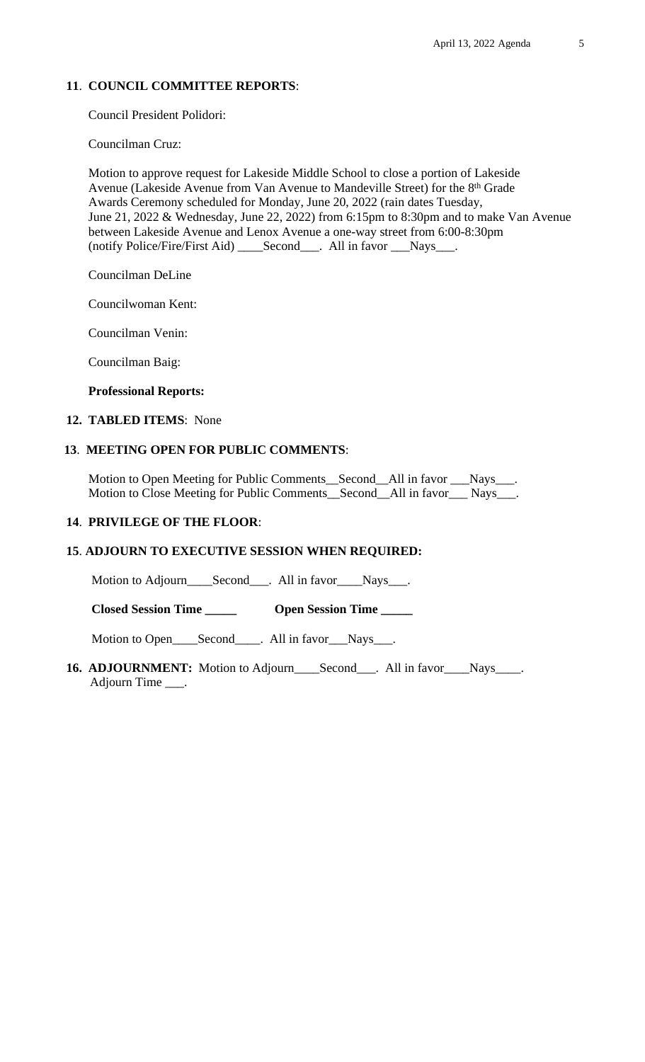### **11**. **COUNCIL COMMITTEE REPORTS**:

Council President Polidori:

Councilman Cruz:

 Motion to approve request for Lakeside Middle School to close a portion of Lakeside Avenue (Lakeside Avenue from Van Avenue to Mandeville Street) for the 8th Grade Awards Ceremony scheduled for Monday, June 20, 2022 (rain dates Tuesday, June 21, 2022 & Wednesday, June 22, 2022) from 6:15pm to 8:30pm and to make Van Avenue between Lakeside Avenue and Lenox Avenue a one-way street from 6:00-8:30pm (notify Police/Fire/First Aid) \_\_\_\_Second\_\_\_. All in favor \_\_\_Nays\_\_\_.

Councilman DeLine

Councilwoman Kent:

Councilman Venin:

Councilman Baig:

#### **Professional Reports:**

#### **12. TABLED ITEMS**: None

#### **13**. **MEETING OPEN FOR PUBLIC COMMENTS**:

 Motion to Open Meeting for Public Comments\_\_Second\_\_All in favor \_\_\_Nays\_\_\_. Motion to Close Meeting for Public Comments\_\_Second\_\_All in favor\_\_\_ Nays\_\_\_.

### **14**. **PRIVILEGE OF THE FLOOR**:

### **15**. **ADJOURN TO EXECUTIVE SESSION WHEN REQUIRED:**

Motion to Adjourn\_\_\_\_Second\_\_\_. All in favor\_\_\_Nays\_\_\_.

 **Closed Session Time \_\_\_\_\_ Open Session Time \_\_\_\_\_**

Motion to Open\_\_\_\_Second\_\_\_\_. All in favor\_\_\_Nays\_\_\_.

16. **ADJOURNMENT:** Motion to Adjourn\_\_\_\_Second\_\_\_. All in favor\_\_\_\_Nays\_\_\_\_. Adjourn Time \_\_\_.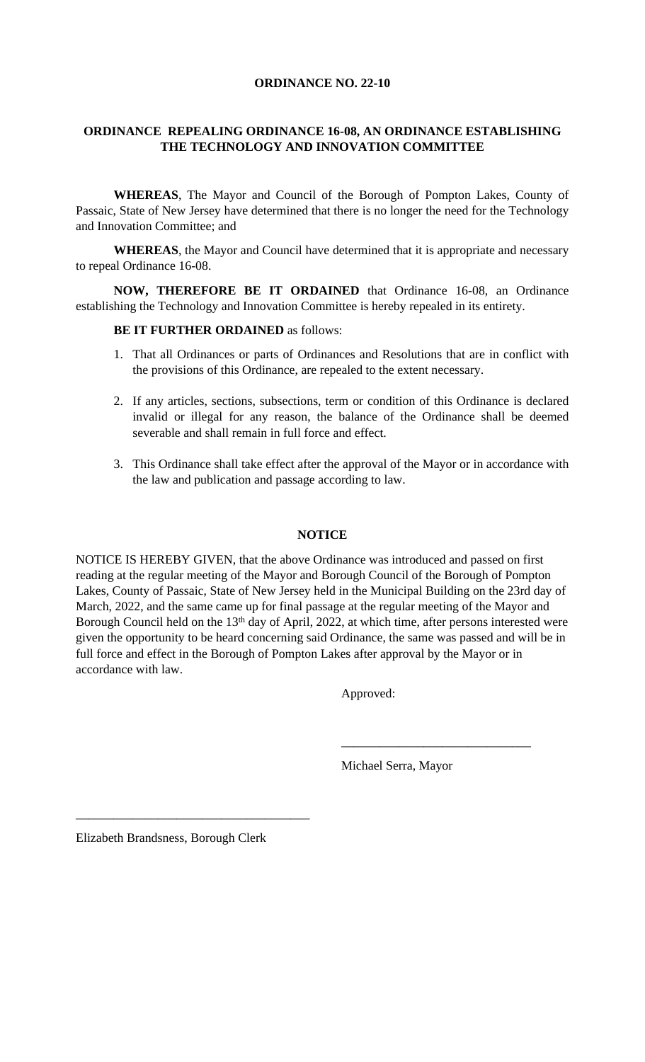### **ORDINANCE NO. 22-10**

# **ORDINANCE REPEALING ORDINANCE 16-08, AN ORDINANCE ESTABLISHING THE TECHNOLOGY AND INNOVATION COMMITTEE**

**WHEREAS**, The Mayor and Council of the Borough of Pompton Lakes, County of Passaic, State of New Jersey have determined that there is no longer the need for the Technology and Innovation Committee; and

**WHEREAS**, the Mayor and Council have determined that it is appropriate and necessary to repeal Ordinance 16-08.

**NOW, THEREFORE BE IT ORDAINED** that Ordinance 16-08, an Ordinance establishing the Technology and Innovation Committee is hereby repealed in its entirety.

# **BE IT FURTHER ORDAINED** as follows:

- 1. That all Ordinances or parts of Ordinances and Resolutions that are in conflict with the provisions of this Ordinance, are repealed to the extent necessary.
- 2. If any articles, sections, subsections, term or condition of this Ordinance is declared invalid or illegal for any reason, the balance of the Ordinance shall be deemed severable and shall remain in full force and effect.
- 3. This Ordinance shall take effect after the approval of the Mayor or in accordance with the law and publication and passage according to law.

### **NOTICE**

NOTICE IS HEREBY GIVEN, that the above Ordinance was introduced and passed on first reading at the regular meeting of the Mayor and Borough Council of the Borough of Pompton Lakes, County of Passaic, State of New Jersey held in the Municipal Building on the 23rd day of March, 2022, and the same came up for final passage at the regular meeting of the Mayor and Borough Council held on the 13<sup>th</sup> day of April, 2022, at which time, after persons interested were given the opportunity to be heard concerning said Ordinance, the same was passed and will be in full force and effect in the Borough of Pompton Lakes after approval by the Mayor or in accordance with law.

Approved:

Michael Serra, Mayor

\_\_\_\_\_\_\_\_\_\_\_\_\_\_\_\_\_\_\_\_\_\_\_\_\_\_\_\_\_\_

Elizabeth Brandsness, Borough Clerk

\_\_\_\_\_\_\_\_\_\_\_\_\_\_\_\_\_\_\_\_\_\_\_\_\_\_\_\_\_\_\_\_\_\_\_\_\_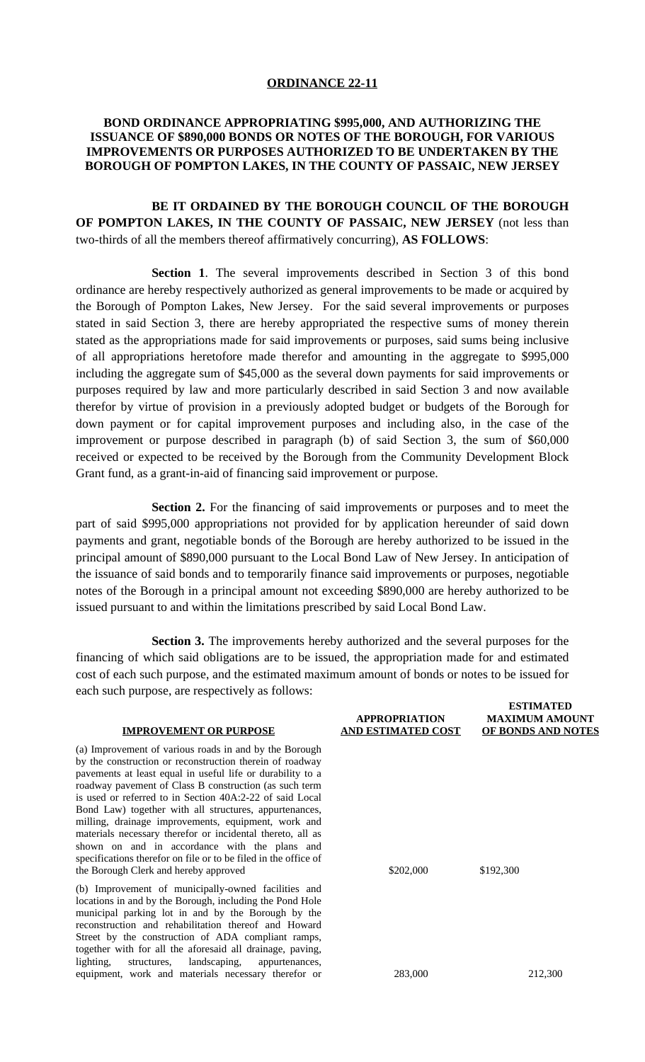#### **ORDINANCE 22-11**

### **BOND ORDINANCE APPROPRIATING \$995,000, AND AUTHORIZING THE ISSUANCE OF \$890,000 BONDS OR NOTES OF THE BOROUGH, FOR VARIOUS IMPROVEMENTS OR PURPOSES AUTHORIZED TO BE UNDERTAKEN BY THE BOROUGH OF POMPTON LAKES, IN THE COUNTY OF PASSAIC, NEW JERSEY**

**BE IT ORDAINED BY THE BOROUGH COUNCIL OF THE BOROUGH OF POMPTON LAKES, IN THE COUNTY OF PASSAIC, NEW JERSEY** (not less than two-thirds of all the members thereof affirmatively concurring), **AS FOLLOWS**:

**Section 1**. The several improvements described in Section 3 of this bond ordinance are hereby respectively authorized as general improvements to be made or acquired by the Borough of Pompton Lakes, New Jersey. For the said several improvements or purposes stated in said Section 3, there are hereby appropriated the respective sums of money therein stated as the appropriations made for said improvements or purposes, said sums being inclusive of all appropriations heretofore made therefor and amounting in the aggregate to \$995,000 including the aggregate sum of \$45,000 as the several down payments for said improvements or purposes required by law and more particularly described in said Section 3 and now available therefor by virtue of provision in a previously adopted budget or budgets of the Borough for down payment or for capital improvement purposes and including also, in the case of the improvement or purpose described in paragraph (b) of said Section 3, the sum of \$60,000 received or expected to be received by the Borough from the Community Development Block Grant fund, as a grant-in-aid of financing said improvement or purpose.

**Section 2.** For the financing of said improvements or purposes and to meet the part of said \$995,000 appropriations not provided for by application hereunder of said down payments and grant, negotiable bonds of the Borough are hereby authorized to be issued in the principal amount of \$890,000 pursuant to the Local Bond Law of New Jersey. In anticipation of the issuance of said bonds and to temporarily finance said improvements or purposes, negotiable notes of the Borough in a principal amount not exceeding \$890,000 are hereby authorized to be issued pursuant to and within the limitations prescribed by said Local Bond Law.

**Section 3.** The improvements hereby authorized and the several purposes for the financing of which said obligations are to be issued, the appropriation made for and estimated cost of each such purpose, and the estimated maximum amount of bonds or notes to be issued for each such purpose, are respectively as follows:

**APPROPRIATION**

**ESTIMATED MAXIMUM AMOUNT**

| <b>IMPROVEMENT OR PURPOSE</b>                                                                                                                                                                                                                                                                                                                                                                                                                                                                                                                                                                                                                      | AH I INVI INA HUIV<br><b>AND ESTIMATED COST</b> | <b>MAAIMUM AMUUNI</b><br>OF BONDS AND NOTES |
|----------------------------------------------------------------------------------------------------------------------------------------------------------------------------------------------------------------------------------------------------------------------------------------------------------------------------------------------------------------------------------------------------------------------------------------------------------------------------------------------------------------------------------------------------------------------------------------------------------------------------------------------------|-------------------------------------------------|---------------------------------------------|
| (a) Improvement of various roads in and by the Borough<br>by the construction or reconstruction therein of roadway<br>pavements at least equal in useful life or durability to a<br>roadway pavement of Class B construction (as such term<br>is used or referred to in Section 40A:2-22 of said Local<br>Bond Law) together with all structures, appurtenances,<br>milling, drainage improvements, equipment, work and<br>materials necessary therefor or incidental thereto, all as<br>shown on and in accordance with the plans and<br>specifications therefor on file or to be filed in the office of<br>the Borough Clerk and hereby approved | \$202,000                                       | \$192,300                                   |
| (b) Improvement of municipally-owned facilities and<br>locations in and by the Borough, including the Pond Hole<br>municipal parking lot in and by the Borough by the<br>reconstruction and rehabilitation thereof and Howard<br>Street by the construction of ADA compliant ramps,<br>together with for all the aforesaid all drainage, paving,<br>lighting,<br>structures, landscaping,<br>appurtenances,<br>equipment, work and materials necessary therefor or                                                                                                                                                                                 | 283,000                                         | 212,300                                     |
|                                                                                                                                                                                                                                                                                                                                                                                                                                                                                                                                                                                                                                                    |                                                 |                                             |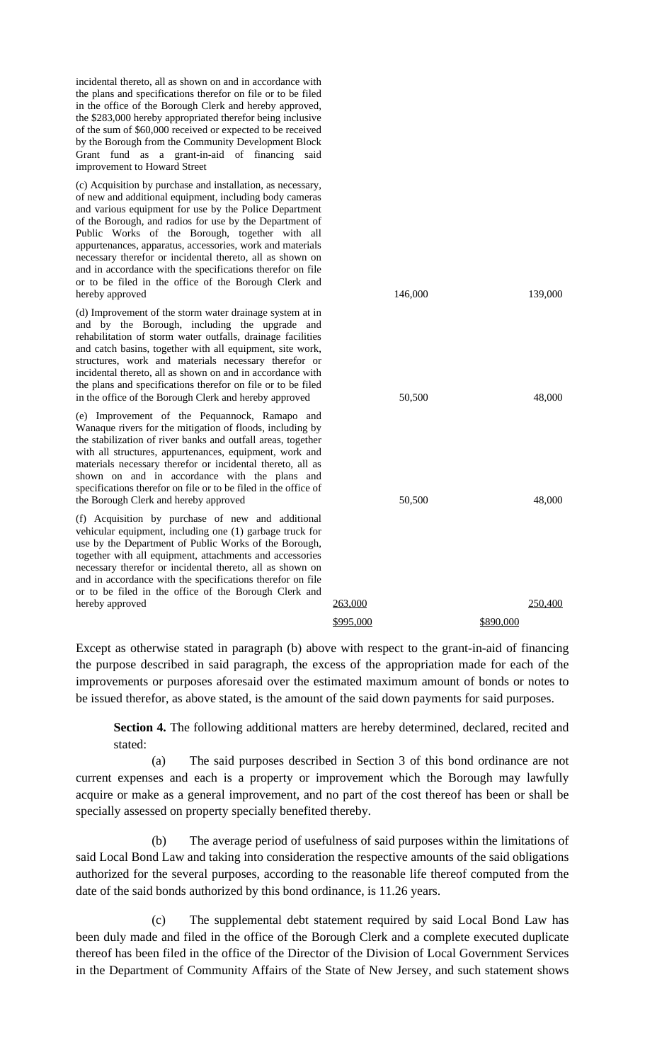incidental thereto, all as shown on and in accordance with the plans and specifications therefor on file or to be filed in the office of the Borough Clerk and hereby approved, the \$283,000 hereby appropriated therefor being inclusive of the sum of \$60,000 received or expected to be received by the Borough from the Community Development Block Grant fund as a grant-in-aid of financing said improvement to Howard Street

(c) Acquisition by purchase and installation, as necessary, of new and additional equipment, including body cameras and various equipment for use by the Police Department of the Borough, and radios for use by the Department of Public Works of the Borough, together with all appurtenances, apparatus, accessories, work and materials necessary therefor or incidental thereto, all as shown on and in accordance with the specifications therefor on file or to be filed in the office of the Borough Clerk and hereby approved a state of the state of the 146,000 and 139,000 139,000 hereby approved the state of the state of the state of the state of the state of the state of the state of the state of the state of the state of the

(d) Improvement of the storm water drainage system at in and by the Borough, including the upgrade and rehabilitation of storm water outfalls, drainage facilities and catch basins, together with all equipment, site work, structures, work and materials necessary therefor or incidental thereto, all as shown on and in accordance with the plans and specifications therefor on file or to be filed

(e) Improvement of the Pequannock, Ramapo and Wanaque rivers for the mitigation of floods, including by the stabilization of river banks and outfall areas, together with all structures, appurtenances, equipment, work and materials necessary therefor or incidental thereto, all as shown on and in accordance with the plans and specifications therefor on file or to be filed in the office of

(f) Acquisition by purchase of new and additional vehicular equipment, including one (1) garbage truck for use by the Department of Public Works of the Borough, together with all equipment, attachments and accessories necessary therefor or incidental thereto, all as shown on and in accordance with the specifications therefor on file or to be filed in the office of the Borough Clerk and hereby approved 263,000 263,000 250,400 250,400

in the office of the Borough Clerk and hereby approved 50,500 48,000 the Borough Clerk and hereby approved 50,500 50,500 48,000

\$995,000 \$890,000

Except as otherwise stated in paragraph (b) above with respect to the grant-in-aid of financing the purpose described in said paragraph, the excess of the appropriation made for each of the improvements or purposes aforesaid over the estimated maximum amount of bonds or notes to be issued therefor, as above stated, is the amount of the said down payments for said purposes.

**Section 4.** The following additional matters are hereby determined, declared, recited and stated:

(a) The said purposes described in Section 3 of this bond ordinance are not current expenses and each is a property or improvement which the Borough may lawfully acquire or make as a general improvement, and no part of the cost thereof has been or shall be specially assessed on property specially benefited thereby.

(b) The average period of usefulness of said purposes within the limitations of said Local Bond Law and taking into consideration the respective amounts of the said obligations authorized for the several purposes, according to the reasonable life thereof computed from the date of the said bonds authorized by this bond ordinance, is 11.26 years.

(c) The supplemental debt statement required by said Local Bond Law has been duly made and filed in the office of the Borough Clerk and a complete executed duplicate thereof has been filed in the office of the Director of the Division of Local Government Services in the Department of Community Affairs of the State of New Jersey, and such statement shows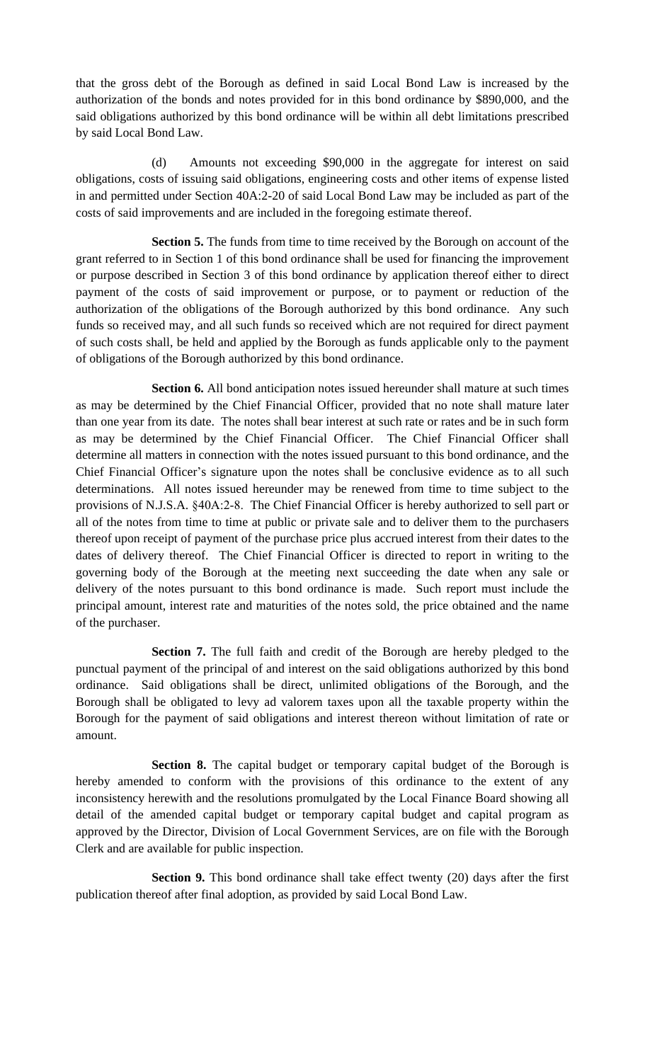that the gross debt of the Borough as defined in said Local Bond Law is increased by the authorization of the bonds and notes provided for in this bond ordinance by \$890,000, and the said obligations authorized by this bond ordinance will be within all debt limitations prescribed by said Local Bond Law.

(d) Amounts not exceeding \$90,000 in the aggregate for interest on said obligations, costs of issuing said obligations, engineering costs and other items of expense listed in and permitted under Section 40A:2-20 of said Local Bond Law may be included as part of the costs of said improvements and are included in the foregoing estimate thereof.

**Section 5.** The funds from time to time received by the Borough on account of the grant referred to in Section 1 of this bond ordinance shall be used for financing the improvement or purpose described in Section 3 of this bond ordinance by application thereof either to direct payment of the costs of said improvement or purpose, or to payment or reduction of the authorization of the obligations of the Borough authorized by this bond ordinance. Any such funds so received may, and all such funds so received which are not required for direct payment of such costs shall, be held and applied by the Borough as funds applicable only to the payment of obligations of the Borough authorized by this bond ordinance.

**Section 6.** All bond anticipation notes issued hereunder shall mature at such times as may be determined by the Chief Financial Officer, provided that no note shall mature later than one year from its date. The notes shall bear interest at such rate or rates and be in such form as may be determined by the Chief Financial Officer. The Chief Financial Officer shall determine all matters in connection with the notes issued pursuant to this bond ordinance, and the Chief Financial Officer's signature upon the notes shall be conclusive evidence as to all such determinations. All notes issued hereunder may be renewed from time to time subject to the provisions of N.J.S.A. §40A:2-8. The Chief Financial Officer is hereby authorized to sell part or all of the notes from time to time at public or private sale and to deliver them to the purchasers thereof upon receipt of payment of the purchase price plus accrued interest from their dates to the dates of delivery thereof. The Chief Financial Officer is directed to report in writing to the governing body of the Borough at the meeting next succeeding the date when any sale or delivery of the notes pursuant to this bond ordinance is made. Such report must include the principal amount, interest rate and maturities of the notes sold, the price obtained and the name of the purchaser.

**Section 7.** The full faith and credit of the Borough are hereby pledged to the punctual payment of the principal of and interest on the said obligations authorized by this bond ordinance. Said obligations shall be direct, unlimited obligations of the Borough, and the Borough shall be obligated to levy ad valorem taxes upon all the taxable property within the Borough for the payment of said obligations and interest thereon without limitation of rate or amount.

**Section 8.** The capital budget or temporary capital budget of the Borough is hereby amended to conform with the provisions of this ordinance to the extent of any inconsistency herewith and the resolutions promulgated by the Local Finance Board showing all detail of the amended capital budget or temporary capital budget and capital program as approved by the Director, Division of Local Government Services, are on file with the Borough Clerk and are available for public inspection.

**Section 9.** This bond ordinance shall take effect twenty (20) days after the first publication thereof after final adoption, as provided by said Local Bond Law.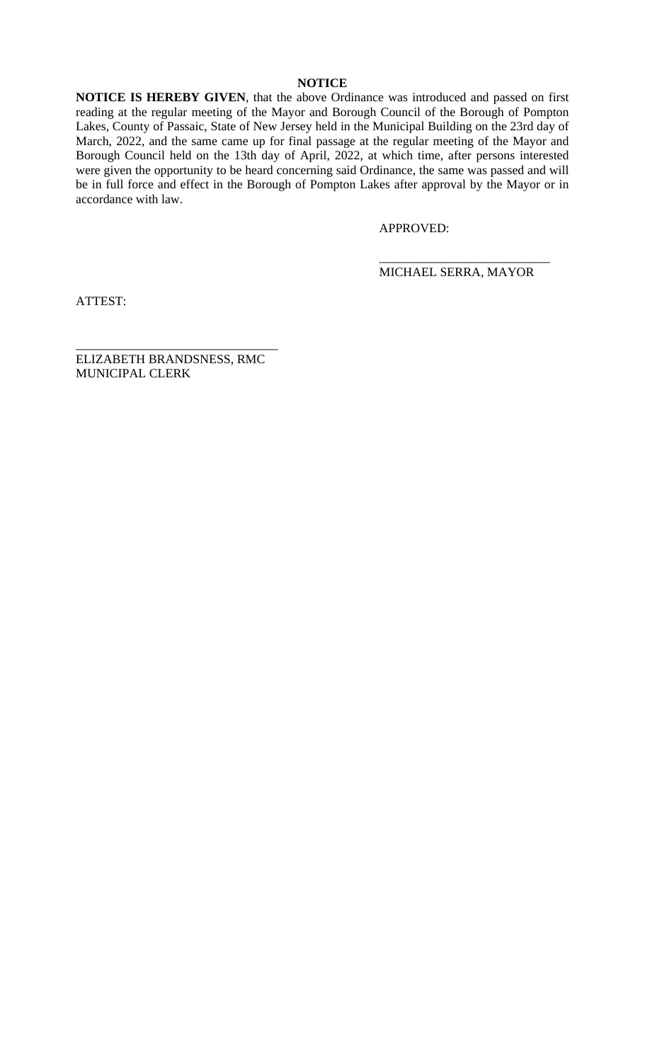### **NOTICE**

**NOTICE IS HEREBY GIVEN**, that the above Ordinance was introduced and passed on first reading at the regular meeting of the Mayor and Borough Council of the Borough of Pompton Lakes, County of Passaic, State of New Jersey held in the Municipal Building on the 23rd day of March, 2022, and the same came up for final passage at the regular meeting of the Mayor and Borough Council held on the 13th day of April, 2022, at which time, after persons interested were given the opportunity to be heard concerning said Ordinance, the same was passed and will be in full force and effect in the Borough of Pompton Lakes after approval by the Mayor or in accordance with law.

APPROVED:

\_\_\_\_\_\_\_\_\_\_\_\_\_\_\_\_\_\_\_\_\_\_\_\_\_\_\_ MICHAEL SERRA, MAYOR

ATTEST:

ELIZABETH BRANDSNESS, RMC MUNICIPAL CLERK

\_\_\_\_\_\_\_\_\_\_\_\_\_\_\_\_\_\_\_\_\_\_\_\_\_\_\_\_\_\_\_\_